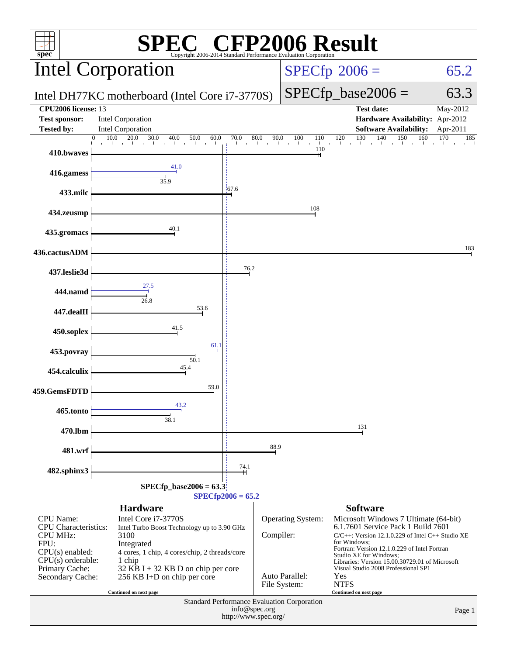| $\mathbb{C}^{\circ}$ CFP2006 Result<br>spec®<br>Copyright 2006-2014 Standard Performance Evaluation Corporation                                                                                                                                                                                                                                                                                               |                                                                                                                                                         |       |                                                                                                                                                                                                                                                                                                                                                                                                                                                    |                                                                                 |                        |  |
|---------------------------------------------------------------------------------------------------------------------------------------------------------------------------------------------------------------------------------------------------------------------------------------------------------------------------------------------------------------------------------------------------------------|---------------------------------------------------------------------------------------------------------------------------------------------------------|-------|----------------------------------------------------------------------------------------------------------------------------------------------------------------------------------------------------------------------------------------------------------------------------------------------------------------------------------------------------------------------------------------------------------------------------------------------------|---------------------------------------------------------------------------------|------------------------|--|
|                                                                                                                                                                                                                                                                                                                                                                                                               | Intel Corporation                                                                                                                                       |       | $SPECfp^{\circ}2006 =$<br>65.2                                                                                                                                                                                                                                                                                                                                                                                                                     |                                                                                 |                        |  |
|                                                                                                                                                                                                                                                                                                                                                                                                               | Intel DH77KC motherboard (Intel Core i7-3770S)                                                                                                          |       |                                                                                                                                                                                                                                                                                                                                                                                                                                                    | $SPECfp\_base2006 =$                                                            | 63.3                   |  |
| CPU2006 license: 13<br><b>Test sponsor:</b>                                                                                                                                                                                                                                                                                                                                                                   | Intel Corporation                                                                                                                                       |       |                                                                                                                                                                                                                                                                                                                                                                                                                                                    | <b>Test date:</b><br>Hardware Availability: Apr-2012                            | May-2012               |  |
| <b>Tested by:</b>                                                                                                                                                                                                                                                                                                                                                                                             | <b>Intel Corporation</b><br>$\begin{array}{ c c c c c c c c } \hline 10.0 & 20.0 & 30.0 & 40.0 & 50.0 & 60.0 \\ \hline \end{array}$<br>$\Omega$<br>60.0 | 70.0  |                                                                                                                                                                                                                                                                                                                                                                                                                                                    | <b>Software Availability:</b><br>70.0 80.0 90.0 100 110 120 130 140 150 160 170 | Apr-2011<br>170<br>185 |  |
| 410.bwaves                                                                                                                                                                                                                                                                                                                                                                                                    | 41.0                                                                                                                                                    |       | 110                                                                                                                                                                                                                                                                                                                                                                                                                                                |                                                                                 |                        |  |
| 416.gamess                                                                                                                                                                                                                                                                                                                                                                                                    | 35.9                                                                                                                                                    |       |                                                                                                                                                                                                                                                                                                                                                                                                                                                    |                                                                                 |                        |  |
| 433.milc                                                                                                                                                                                                                                                                                                                                                                                                      |                                                                                                                                                         | 167.6 |                                                                                                                                                                                                                                                                                                                                                                                                                                                    |                                                                                 |                        |  |
| 434.zeusmp                                                                                                                                                                                                                                                                                                                                                                                                    |                                                                                                                                                         |       | 108                                                                                                                                                                                                                                                                                                                                                                                                                                                |                                                                                 |                        |  |
| 435.gromacs                                                                                                                                                                                                                                                                                                                                                                                                   | 40.1                                                                                                                                                    |       |                                                                                                                                                                                                                                                                                                                                                                                                                                                    |                                                                                 |                        |  |
| 436.cactusADM                                                                                                                                                                                                                                                                                                                                                                                                 |                                                                                                                                                         |       |                                                                                                                                                                                                                                                                                                                                                                                                                                                    |                                                                                 | 183                    |  |
| 437.leslie3d                                                                                                                                                                                                                                                                                                                                                                                                  |                                                                                                                                                         | 76.2  |                                                                                                                                                                                                                                                                                                                                                                                                                                                    |                                                                                 |                        |  |
| 444.namd                                                                                                                                                                                                                                                                                                                                                                                                      | $\frac{1}{26.8}$                                                                                                                                        |       |                                                                                                                                                                                                                                                                                                                                                                                                                                                    |                                                                                 |                        |  |
| 447.dealII                                                                                                                                                                                                                                                                                                                                                                                                    | 53.6                                                                                                                                                    |       |                                                                                                                                                                                                                                                                                                                                                                                                                                                    |                                                                                 |                        |  |
| 450.soplex                                                                                                                                                                                                                                                                                                                                                                                                    | 41.5                                                                                                                                                    |       |                                                                                                                                                                                                                                                                                                                                                                                                                                                    |                                                                                 |                        |  |
| 453.povray                                                                                                                                                                                                                                                                                                                                                                                                    | 61.1                                                                                                                                                    |       |                                                                                                                                                                                                                                                                                                                                                                                                                                                    |                                                                                 |                        |  |
| 454.calculix                                                                                                                                                                                                                                                                                                                                                                                                  | 50.1<br>45.4                                                                                                                                            |       |                                                                                                                                                                                                                                                                                                                                                                                                                                                    |                                                                                 |                        |  |
| 459.GemsFDTD                                                                                                                                                                                                                                                                                                                                                                                                  | 59.0                                                                                                                                                    |       |                                                                                                                                                                                                                                                                                                                                                                                                                                                    |                                                                                 |                        |  |
| 465.tonto                                                                                                                                                                                                                                                                                                                                                                                                     | 43.2                                                                                                                                                    |       |                                                                                                                                                                                                                                                                                                                                                                                                                                                    |                                                                                 |                        |  |
| 470.lbm                                                                                                                                                                                                                                                                                                                                                                                                       | 38.1                                                                                                                                                    |       |                                                                                                                                                                                                                                                                                                                                                                                                                                                    | 131                                                                             |                        |  |
| 481.wrf                                                                                                                                                                                                                                                                                                                                                                                                       |                                                                                                                                                         |       | 88.9                                                                                                                                                                                                                                                                                                                                                                                                                                               |                                                                                 |                        |  |
|                                                                                                                                                                                                                                                                                                                                                                                                               |                                                                                                                                                         | 74.1  |                                                                                                                                                                                                                                                                                                                                                                                                                                                    |                                                                                 |                        |  |
| 482.sphinx3<br>$SPECfp\_base2006 = 63.3$                                                                                                                                                                                                                                                                                                                                                                      |                                                                                                                                                         |       |                                                                                                                                                                                                                                                                                                                                                                                                                                                    |                                                                                 |                        |  |
| $SPECfp2006 = 65.2$<br><b>Hardware</b><br><b>Software</b>                                                                                                                                                                                                                                                                                                                                                     |                                                                                                                                                         |       |                                                                                                                                                                                                                                                                                                                                                                                                                                                    |                                                                                 |                        |  |
| Intel Core i7-3770S<br><b>CPU</b> Name:<br>CPU Characteristics:<br>Intel Turbo Boost Technology up to 3.90 GHz<br><b>CPU MHz:</b><br>3100<br>FPU:<br>Integrated<br>$CPU(s)$ enabled:<br>4 cores, 1 chip, 4 cores/chip, 2 threads/core<br>$CPU(s)$ orderable:<br>1 chip<br>Primary Cache:<br>$32$ KB I + 32 KB D on chip per core<br>Secondary Cache:<br>256 KB I+D on chip per core<br>Continued on next page |                                                                                                                                                         |       | <b>Operating System:</b><br>Microsoft Windows 7 Ultimate (64-bit)<br>6.1.7601 Service Pack 1 Build 7601<br>Compiler:<br>$C/C++$ : Version 12.1.0.229 of Intel $C++$ Studio XE<br>for Windows:<br>Fortran: Version 12.1.0.229 of Intel Fortran<br>Studio XE for Windows;<br>Libraries: Version 15.00.30729.01 of Microsoft<br>Visual Studio 2008 Professional SP1<br>Auto Parallel:<br>Yes<br><b>NTFS</b><br>File System:<br>Continued on next page |                                                                                 |                        |  |
| Standard Performance Evaluation Corporation<br>info@spec.org<br>Page 1<br>http://www.spec.org/                                                                                                                                                                                                                                                                                                                |                                                                                                                                                         |       |                                                                                                                                                                                                                                                                                                                                                                                                                                                    |                                                                                 |                        |  |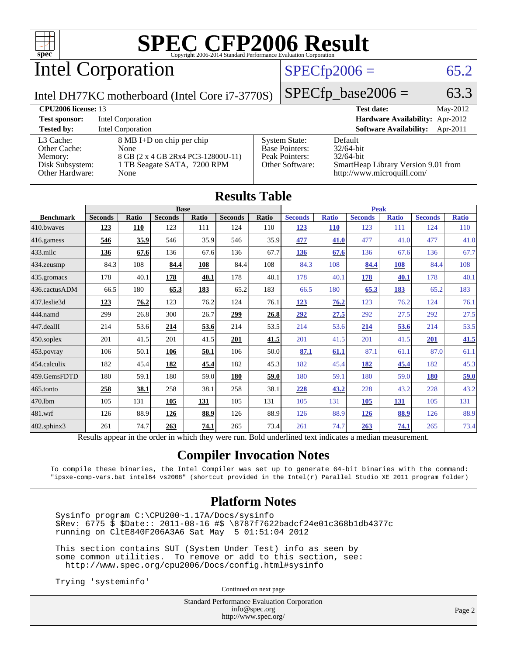

Intel Corporation

## $SPECfp2006 = 65.2$  $SPECfp2006 = 65.2$

Intel DH77KC motherboard (Intel Core i7-3770S)

 $SPECTp\_base2006 = 63.3$ 

| <b>CPU<sub>2006</sub></b> license: 13 |                                    |                       | May-2012<br><b>Test date:</b>             |  |  |  |
|---------------------------------------|------------------------------------|-----------------------|-------------------------------------------|--|--|--|
| <b>Test sponsor:</b>                  | Intel Corporation                  |                       | Hardware Availability: Apr-2012           |  |  |  |
| <b>Tested by:</b>                     | Intel Corporation                  |                       | <b>Software Availability:</b><br>Apr-2011 |  |  |  |
| L3 Cache:                             | 8 MB I+D on chip per chip          | <b>System State:</b>  | Default                                   |  |  |  |
| Other Cache:                          | None                               | <b>Base Pointers:</b> | $32/64$ -bit                              |  |  |  |
| Memory:                               | 8 GB (2 x 4 GB 2Rx4 PC3-12800U-11) | Peak Pointers:        | $32/64$ -bit                              |  |  |  |
| Disk Subsystem:                       | 1 TB Seagate SATA, 7200 RPM        | Other Software:       | SmartHeap Library Version 9.01 from       |  |  |  |
| Other Hardware:                       | None                               |                       | http://www.microquill.com/                |  |  |  |

| <b>Results Table</b>                                                                                     |                |              |                |             |                |       |                |              |                |              |                |              |
|----------------------------------------------------------------------------------------------------------|----------------|--------------|----------------|-------------|----------------|-------|----------------|--------------|----------------|--------------|----------------|--------------|
|                                                                                                          | <b>Base</b>    |              |                | <b>Peak</b> |                |       |                |              |                |              |                |              |
| <b>Benchmark</b>                                                                                         | <b>Seconds</b> | <b>Ratio</b> | <b>Seconds</b> | Ratio       | <b>Seconds</b> | Ratio | <b>Seconds</b> | <b>Ratio</b> | <b>Seconds</b> | <b>Ratio</b> | <b>Seconds</b> | <b>Ratio</b> |
| 410.bwayes                                                                                               | 123            | 110          | 123            | 111         | 124            | 110   | <u>123</u>     | <b>110</b>   | 123            | 111          | 124            | 110          |
| 416.gamess                                                                                               | 546            | 35.9         | 546            | 35.9        | 546            | 35.9  | 477            | 41.0         | 477            | 41.0         | 477            | 41.0         |
| $433$ .milc                                                                                              | 136            | 67.6         | 136            | 67.6        | 136            | 67.7  | 136            | 67.6         | 136            | 67.6         | 136            | 67.7         |
| 434.zeusmp                                                                                               | 84.3           | 108          | 84.4           | 108         | 84.4           | 108   | 84.3           | 108          | 84.4           | 108          | 84.4           | 108          |
| 435.gromacs                                                                                              | 178            | 40.1         | 178            | 40.1        | 178            | 40.1  | 178            | 40.1         | 178            | 40.1         | 178            | 40.1         |
| 436.cactusADM                                                                                            | 66.5           | 180          | 65.3           | 183         | 65.2           | 183   | 66.5           | 180          | 65.3           | 183          | 65.2           | 183          |
| 437.leslie3d                                                                                             | 123            | 76.2         | 123            | 76.2        | 124            | 76.1  | 123            | 76.2         | 123            | 76.2         | 124            | 76.1         |
| 444.namd                                                                                                 | 299            | 26.8         | 300            | 26.7        | 299            | 26.8  | 292            | 27.5         | 292            | 27.5         | 292            | 27.5         |
| 447.dealII                                                                                               | 214            | 53.6         | 214            | 53.6        | 214            | 53.5  | 214            | 53.6         | 214            | 53.6         | 214            | 53.5         |
| $450$ .soplex                                                                                            | 201            | 41.5         | 201            | 41.5        | 201            | 41.5  | 201            | 41.5         | 201            | 41.5         | 201            | 41.5         |
| 453.povray                                                                                               | 106            | 50.1         | 106            | 50.1        | 106            | 50.0  | 87.1           | 61.1         | 87.1           | 61.1         | 87.0           | 61.1         |
| 454.calculix                                                                                             | 182            | 45.4         | 182            | 45.4        | 182            | 45.3  | 182            | 45.4         | 182            | 45.4         | 182            | 45.3         |
| 459.GemsFDTD                                                                                             | 180            | 59.1         | 180            | 59.0        | 180            | 59.0  | 180            | 59.1         | 180            | 59.0         | 180            | 59.0         |
| 465.tonto                                                                                                | 258            | 38.1         | 258            | 38.1        | 258            | 38.1  | 228            | 43.2         | 228            | 43.2         | 228            | 43.2         |
| 470.1bm                                                                                                  | 105            | 131          | 105            | 131         | 105            | 131   | 105            | 131          | 105            | 131          | 105            | 131          |
| 481.wrf                                                                                                  | 126            | 88.9         | 126            | 88.9        | 126            | 88.9  | 126            | 88.9         | 126            | 88.9         | 126            | 88.9         |
| $482$ .sphinx $3$                                                                                        | 261            | 74.7         | 263            | 74.1        | 265            | 73.4  | 261            | 74.7         | 263            | 74.1         | 265            | 73.4         |
| Results appear in the order in which they were run. Bold underlined text indicates a median measurement. |                |              |                |             |                |       |                |              |                |              |                |              |

### **[Compiler Invocation Notes](http://www.spec.org/auto/cpu2006/Docs/result-fields.html#CompilerInvocationNotes)**

To compile these binaries, the Intel Compiler was set up to generate 64-bit binaries with the command: "ipsxe-comp-vars.bat intel64 vs2008" (shortcut provided in the Intel(r) Parallel Studio XE 2011 program folder)

### **[Platform Notes](http://www.spec.org/auto/cpu2006/Docs/result-fields.html#PlatformNotes)**

 Sysinfo program C:\CPU200~1.17A/Docs/sysinfo \$Rev: 6775 \$ \$Date:: 2011-08-16 #\$ \8787f7622badcf24e01c368b1db4377c running on CltE840F206A3A6 Sat May 5 01:51:04 2012

 This section contains SUT (System Under Test) info as seen by some common utilities. To remove or add to this section, see: <http://www.spec.org/cpu2006/Docs/config.html#sysinfo>

Trying 'systeminfo'

Continued on next page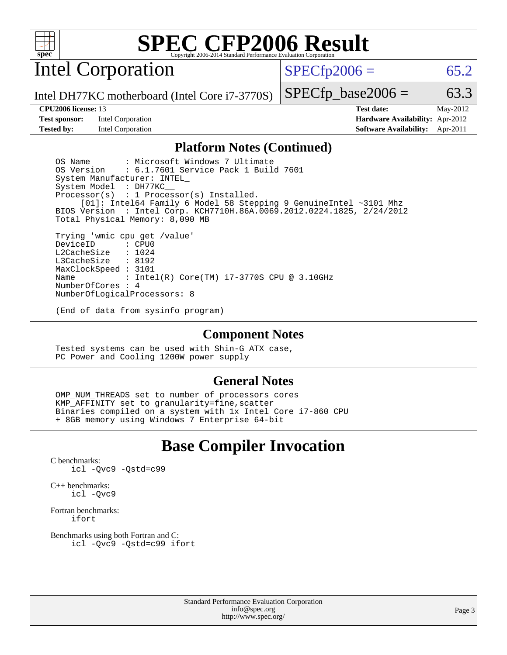

Intel Corporation

 $SPECfp2006 = 65.2$  $SPECfp2006 = 65.2$ 

Intel DH77KC motherboard (Intel Core i7-3770S)

**[Test sponsor:](http://www.spec.org/auto/cpu2006/Docs/result-fields.html#Testsponsor)** Intel Corporation **[Hardware Availability:](http://www.spec.org/auto/cpu2006/Docs/result-fields.html#HardwareAvailability)** Apr-2012

NumberOfCores : 4

 $SPECTp\_base2006 = 63.3$ **[CPU2006 license:](http://www.spec.org/auto/cpu2006/Docs/result-fields.html#CPU2006license)** 13 **[Test date:](http://www.spec.org/auto/cpu2006/Docs/result-fields.html#Testdate)** May-2012

**[Tested by:](http://www.spec.org/auto/cpu2006/Docs/result-fields.html#Testedby)** Intel Corporation **[Software Availability:](http://www.spec.org/auto/cpu2006/Docs/result-fields.html#SoftwareAvailability)** Apr-2011

### **[Platform Notes \(Continued\)](http://www.spec.org/auto/cpu2006/Docs/result-fields.html#PlatformNotes)**

OS Name : Microsoft Windows 7 Ultimate<br>OS Version : 6.1.7601 Service Pack 1 Buil : 6.1.7601 Service Pack 1 Build 7601 System Manufacturer: INTEL\_ System Model : DH77KC\_\_ Processor(s) : 1 Processor(s) Installed. [01]: Intel64 Family 6 Model 58 Stepping 9 GenuineIntel ~3101 Mhz BIOS Version : Intel Corp. KCH7710H.86A.0069.2012.0224.1825, 2/24/2012 Total Physical Memory: 8,090 MB Trying 'wmic cpu get /value' DeviceID L2CacheSize : 1024<br>T3CacheSize : 8192 L3CacheSize MaxClockSpeed : 3101 Name : Intel(R) Core(TM) i7-3770S CPU @ 3.10GHz

(End of data from sysinfo program)

NumberOfLogicalProcessors: 8

#### **[Component Notes](http://www.spec.org/auto/cpu2006/Docs/result-fields.html#ComponentNotes)**

 Tested systems can be used with Shin-G ATX case, PC Power and Cooling 1200W power supply

### **[General Notes](http://www.spec.org/auto/cpu2006/Docs/result-fields.html#GeneralNotes)**

OMP NUM THREADS set to number of processors cores KMP\_AFFINITY set to granularity=fine,scatter Binaries compiled on a system with 1x Intel Core i7-860 CPU + 8GB memory using Windows 7 Enterprise 64-bit

## **[Base Compiler Invocation](http://www.spec.org/auto/cpu2006/Docs/result-fields.html#BaseCompilerInvocation)**

[C benchmarks](http://www.spec.org/auto/cpu2006/Docs/result-fields.html#Cbenchmarks): [icl -Qvc9](http://www.spec.org/cpu2006/results/res2012q3/cpu2006-20120702-23367.flags.html#user_CCbase_intel_icc_vc9_6b5741b4033b9dc48df324263d9561bc) [-Qstd=c99](http://www.spec.org/cpu2006/results/res2012q3/cpu2006-20120702-23367.flags.html#user_CCbase_intel_compiler_c99_mode_1a3d110e3041b3ad4466830521bdad2a)

[C++ benchmarks:](http://www.spec.org/auto/cpu2006/Docs/result-fields.html#CXXbenchmarks) [icl -Qvc9](http://www.spec.org/cpu2006/results/res2012q3/cpu2006-20120702-23367.flags.html#user_CXXbase_intel_icc_vc9_6b5741b4033b9dc48df324263d9561bc)

[Fortran benchmarks](http://www.spec.org/auto/cpu2006/Docs/result-fields.html#Fortranbenchmarks): [ifort](http://www.spec.org/cpu2006/results/res2012q3/cpu2006-20120702-23367.flags.html#user_FCbase_intel_ifort_8a5e5e06b19a251bdeaf8fdab5d62f20)

[Benchmarks using both Fortran and C](http://www.spec.org/auto/cpu2006/Docs/result-fields.html#BenchmarksusingbothFortranandC): [icl -Qvc9](http://www.spec.org/cpu2006/results/res2012q3/cpu2006-20120702-23367.flags.html#user_CC_FCbase_intel_icc_vc9_6b5741b4033b9dc48df324263d9561bc) [-Qstd=c99](http://www.spec.org/cpu2006/results/res2012q3/cpu2006-20120702-23367.flags.html#user_CC_FCbase_intel_compiler_c99_mode_1a3d110e3041b3ad4466830521bdad2a) [ifort](http://www.spec.org/cpu2006/results/res2012q3/cpu2006-20120702-23367.flags.html#user_CC_FCbase_intel_ifort_8a5e5e06b19a251bdeaf8fdab5d62f20)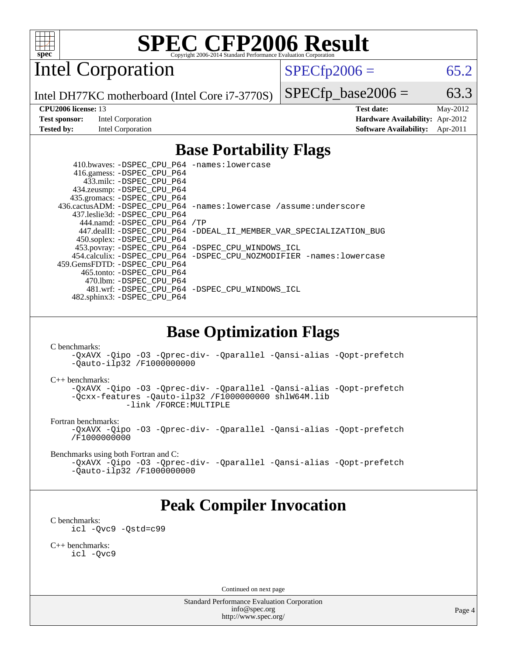

Intel Corporation

 $SPECfp2006 = 65.2$  $SPECfp2006 = 65.2$ 

Intel DH77KC motherboard (Intel Core i7-3770S)

#### **[CPU2006 license:](http://www.spec.org/auto/cpu2006/Docs/result-fields.html#CPU2006license)** 13 **[Test date:](http://www.spec.org/auto/cpu2006/Docs/result-fields.html#Testdate)** May-2012

 $SPECTp\_base2006 = 63.3$ 

**[Test sponsor:](http://www.spec.org/auto/cpu2006/Docs/result-fields.html#Testsponsor)** Intel Corporation **[Hardware Availability:](http://www.spec.org/auto/cpu2006/Docs/result-fields.html#HardwareAvailability)** Apr-2012 **[Tested by:](http://www.spec.org/auto/cpu2006/Docs/result-fields.html#Testedby)** Intel Corporation **[Software Availability:](http://www.spec.org/auto/cpu2006/Docs/result-fields.html#SoftwareAvailability)** Apr-2011

## **[Base Portability Flags](http://www.spec.org/auto/cpu2006/Docs/result-fields.html#BasePortabilityFlags)**

 410.bwaves: [-DSPEC\\_CPU\\_P64](http://www.spec.org/cpu2006/results/res2012q3/cpu2006-20120702-23367.flags.html#suite_basePORTABILITY410_bwaves_DSPEC_CPU_P64) [-names:lowercase](http://www.spec.org/cpu2006/results/res2012q3/cpu2006-20120702-23367.flags.html#user_baseFPORTABILITY410_bwaves_lowercase_routine_name_fa09b8c93d90fdc7bf4c1a91694c3a84) 416.gamess: [-DSPEC\\_CPU\\_P64](http://www.spec.org/cpu2006/results/res2012q3/cpu2006-20120702-23367.flags.html#suite_basePORTABILITY416_gamess_DSPEC_CPU_P64) 433.milc: [-DSPEC\\_CPU\\_P64](http://www.spec.org/cpu2006/results/res2012q3/cpu2006-20120702-23367.flags.html#suite_basePORTABILITY433_milc_DSPEC_CPU_P64) 434.zeusmp: [-DSPEC\\_CPU\\_P64](http://www.spec.org/cpu2006/results/res2012q3/cpu2006-20120702-23367.flags.html#suite_basePORTABILITY434_zeusmp_DSPEC_CPU_P64) 435.gromacs: [-DSPEC\\_CPU\\_P64](http://www.spec.org/cpu2006/results/res2012q3/cpu2006-20120702-23367.flags.html#suite_basePORTABILITY435_gromacs_DSPEC_CPU_P64) 436.cactusADM: [-DSPEC\\_CPU\\_P64](http://www.spec.org/cpu2006/results/res2012q3/cpu2006-20120702-23367.flags.html#suite_basePORTABILITY436_cactusADM_DSPEC_CPU_P64) [-names:lowercase](http://www.spec.org/cpu2006/results/res2012q3/cpu2006-20120702-23367.flags.html#user_baseFPORTABILITY436_cactusADM_lowercase_routine_name_fa09b8c93d90fdc7bf4c1a91694c3a84) [/assume:underscore](http://www.spec.org/cpu2006/results/res2012q3/cpu2006-20120702-23367.flags.html#user_baseFPORTABILITY436_cactusADM_add-underscore_to_routine_name_0c7c658d9e5eb8b86e282975775768a4) 437.leslie3d: [-DSPEC\\_CPU\\_P64](http://www.spec.org/cpu2006/results/res2012q3/cpu2006-20120702-23367.flags.html#suite_basePORTABILITY437_leslie3d_DSPEC_CPU_P64) 444.namd: [-DSPEC\\_CPU\\_P64](http://www.spec.org/cpu2006/results/res2012q3/cpu2006-20120702-23367.flags.html#suite_basePORTABILITY444_namd_DSPEC_CPU_P64) [/TP](http://www.spec.org/cpu2006/results/res2012q3/cpu2006-20120702-23367.flags.html#user_baseCXXPORTABILITY444_namd_assume_cplusplus_sources_73f79b6e94f79d415caf1b69b30a60d8) 447.dealII: [-DSPEC\\_CPU\\_P64](http://www.spec.org/cpu2006/results/res2012q3/cpu2006-20120702-23367.flags.html#suite_basePORTABILITY447_dealII_DSPEC_CPU_P64) [-DDEAL\\_II\\_MEMBER\\_VAR\\_SPECIALIZATION\\_BUG](http://www.spec.org/cpu2006/results/res2012q3/cpu2006-20120702-23367.flags.html#b447.dealII_baseCXXPORTABILITY_DDEAL_II_MEMBER_VAR_SPECIALIZATION_BUG) 450.soplex: [-DSPEC\\_CPU\\_P64](http://www.spec.org/cpu2006/results/res2012q3/cpu2006-20120702-23367.flags.html#suite_basePORTABILITY450_soplex_DSPEC_CPU_P64) 453.povray: [-DSPEC\\_CPU\\_P64](http://www.spec.org/cpu2006/results/res2012q3/cpu2006-20120702-23367.flags.html#suite_basePORTABILITY453_povray_DSPEC_CPU_P64) [-DSPEC\\_CPU\\_WINDOWS\\_ICL](http://www.spec.org/cpu2006/results/res2012q3/cpu2006-20120702-23367.flags.html#b453.povray_baseCXXPORTABILITY_DSPEC_CPU_WINDOWS_ICL) 454.calculix: [-DSPEC\\_CPU\\_P64](http://www.spec.org/cpu2006/results/res2012q3/cpu2006-20120702-23367.flags.html#suite_basePORTABILITY454_calculix_DSPEC_CPU_P64) [-DSPEC\\_CPU\\_NOZMODIFIER](http://www.spec.org/cpu2006/results/res2012q3/cpu2006-20120702-23367.flags.html#b454.calculix_baseCPORTABILITY_DSPEC_CPU_NOZMODIFIER) [-names:lowercase](http://www.spec.org/cpu2006/results/res2012q3/cpu2006-20120702-23367.flags.html#user_baseFPORTABILITY454_calculix_lowercase_routine_name_fa09b8c93d90fdc7bf4c1a91694c3a84) 459.GemsFDTD: [-DSPEC\\_CPU\\_P64](http://www.spec.org/cpu2006/results/res2012q3/cpu2006-20120702-23367.flags.html#suite_basePORTABILITY459_GemsFDTD_DSPEC_CPU_P64) 465.tonto: [-DSPEC\\_CPU\\_P64](http://www.spec.org/cpu2006/results/res2012q3/cpu2006-20120702-23367.flags.html#suite_basePORTABILITY465_tonto_DSPEC_CPU_P64) 470.lbm: [-DSPEC\\_CPU\\_P64](http://www.spec.org/cpu2006/results/res2012q3/cpu2006-20120702-23367.flags.html#suite_basePORTABILITY470_lbm_DSPEC_CPU_P64) 481.wrf: [-DSPEC\\_CPU\\_P64](http://www.spec.org/cpu2006/results/res2012q3/cpu2006-20120702-23367.flags.html#suite_basePORTABILITY481_wrf_DSPEC_CPU_P64) [-DSPEC\\_CPU\\_WINDOWS\\_ICL](http://www.spec.org/cpu2006/results/res2012q3/cpu2006-20120702-23367.flags.html#b481.wrf_baseCPORTABILITY_DSPEC_CPU_WINDOWS_ICL) 482.sphinx3: [-DSPEC\\_CPU\\_P64](http://www.spec.org/cpu2006/results/res2012q3/cpu2006-20120702-23367.flags.html#suite_basePORTABILITY482_sphinx3_DSPEC_CPU_P64)

### **[Base Optimization Flags](http://www.spec.org/auto/cpu2006/Docs/result-fields.html#BaseOptimizationFlags)**

[C benchmarks](http://www.spec.org/auto/cpu2006/Docs/result-fields.html#Cbenchmarks):

[-QxAVX](http://www.spec.org/cpu2006/results/res2012q3/cpu2006-20120702-23367.flags.html#user_CCbase_f-QxAVX) [-Qipo](http://www.spec.org/cpu2006/results/res2012q3/cpu2006-20120702-23367.flags.html#user_CCbase_f-Qipo) [-O3](http://www.spec.org/cpu2006/results/res2012q3/cpu2006-20120702-23367.flags.html#user_CCbase_f-O3) [-Qprec-div-](http://www.spec.org/cpu2006/results/res2012q3/cpu2006-20120702-23367.flags.html#user_CCbase_f-Qprec-div-) [-Qparallel](http://www.spec.org/cpu2006/results/res2012q3/cpu2006-20120702-23367.flags.html#user_CCbase_f-Qparallel) [-Qansi-alias](http://www.spec.org/cpu2006/results/res2012q3/cpu2006-20120702-23367.flags.html#user_CCbase_f-Qansi-alias) [-Qopt-prefetch](http://www.spec.org/cpu2006/results/res2012q3/cpu2006-20120702-23367.flags.html#user_CCbase_f-Qprefetch_37c211608666b9dff9380561f602f0a8) [-Qauto-ilp32](http://www.spec.org/cpu2006/results/res2012q3/cpu2006-20120702-23367.flags.html#user_CCbase_f-Qauto-ilp32) [/F1000000000](http://www.spec.org/cpu2006/results/res2012q3/cpu2006-20120702-23367.flags.html#user_CCbase_set_stack_space_25d7749c1988d91b7f93afbc0ec53727)

[C++ benchmarks:](http://www.spec.org/auto/cpu2006/Docs/result-fields.html#CXXbenchmarks)

[-QxAVX](http://www.spec.org/cpu2006/results/res2012q3/cpu2006-20120702-23367.flags.html#user_CXXbase_f-QxAVX) [-Qipo](http://www.spec.org/cpu2006/results/res2012q3/cpu2006-20120702-23367.flags.html#user_CXXbase_f-Qipo) [-O3](http://www.spec.org/cpu2006/results/res2012q3/cpu2006-20120702-23367.flags.html#user_CXXbase_f-O3) [-Qprec-div-](http://www.spec.org/cpu2006/results/res2012q3/cpu2006-20120702-23367.flags.html#user_CXXbase_f-Qprec-div-) [-Qparallel](http://www.spec.org/cpu2006/results/res2012q3/cpu2006-20120702-23367.flags.html#user_CXXbase_f-Qparallel) [-Qansi-alias](http://www.spec.org/cpu2006/results/res2012q3/cpu2006-20120702-23367.flags.html#user_CXXbase_f-Qansi-alias) [-Qopt-prefetch](http://www.spec.org/cpu2006/results/res2012q3/cpu2006-20120702-23367.flags.html#user_CXXbase_f-Qprefetch_37c211608666b9dff9380561f602f0a8) [-Qcxx-features](http://www.spec.org/cpu2006/results/res2012q3/cpu2006-20120702-23367.flags.html#user_CXXbase_f-Qcxx_features_dbf36c8a6dba956e22f1645e4dcd4d98) [-Qauto-ilp32](http://www.spec.org/cpu2006/results/res2012q3/cpu2006-20120702-23367.flags.html#user_CXXbase_f-Qauto-ilp32) [/F1000000000](http://www.spec.org/cpu2006/results/res2012q3/cpu2006-20120702-23367.flags.html#user_CXXbase_set_stack_space_25d7749c1988d91b7f93afbc0ec53727) [shlW64M.lib](http://www.spec.org/cpu2006/results/res2012q3/cpu2006-20120702-23367.flags.html#user_CXXbase_SmartHeap64_c4f7f76711bdf8c0633a5c1edf6e5396)  [-link /FORCE:MULTIPLE](http://www.spec.org/cpu2006/results/res2012q3/cpu2006-20120702-23367.flags.html#user_CXXbase_link_force_multiple2_070fe330869edf77077b841074b8b0b6)

[Fortran benchmarks](http://www.spec.org/auto/cpu2006/Docs/result-fields.html#Fortranbenchmarks):

[-QxAVX](http://www.spec.org/cpu2006/results/res2012q3/cpu2006-20120702-23367.flags.html#user_FCbase_f-QxAVX) [-Qipo](http://www.spec.org/cpu2006/results/res2012q3/cpu2006-20120702-23367.flags.html#user_FCbase_f-Qipo) [-O3](http://www.spec.org/cpu2006/results/res2012q3/cpu2006-20120702-23367.flags.html#user_FCbase_f-O3) [-Qprec-div-](http://www.spec.org/cpu2006/results/res2012q3/cpu2006-20120702-23367.flags.html#user_FCbase_f-Qprec-div-) [-Qparallel](http://www.spec.org/cpu2006/results/res2012q3/cpu2006-20120702-23367.flags.html#user_FCbase_f-Qparallel) [-Qansi-alias](http://www.spec.org/cpu2006/results/res2012q3/cpu2006-20120702-23367.flags.html#user_FCbase_f-Qansi-alias) [-Qopt-prefetch](http://www.spec.org/cpu2006/results/res2012q3/cpu2006-20120702-23367.flags.html#user_FCbase_f-Qprefetch_37c211608666b9dff9380561f602f0a8) [/F1000000000](http://www.spec.org/cpu2006/results/res2012q3/cpu2006-20120702-23367.flags.html#user_FCbase_set_stack_space_25d7749c1988d91b7f93afbc0ec53727)

[Benchmarks using both Fortran and C](http://www.spec.org/auto/cpu2006/Docs/result-fields.html#BenchmarksusingbothFortranandC):

[-QxAVX](http://www.spec.org/cpu2006/results/res2012q3/cpu2006-20120702-23367.flags.html#user_CC_FCbase_f-QxAVX) [-Qipo](http://www.spec.org/cpu2006/results/res2012q3/cpu2006-20120702-23367.flags.html#user_CC_FCbase_f-Qipo) [-O3](http://www.spec.org/cpu2006/results/res2012q3/cpu2006-20120702-23367.flags.html#user_CC_FCbase_f-O3) [-Qprec-div-](http://www.spec.org/cpu2006/results/res2012q3/cpu2006-20120702-23367.flags.html#user_CC_FCbase_f-Qprec-div-) [-Qparallel](http://www.spec.org/cpu2006/results/res2012q3/cpu2006-20120702-23367.flags.html#user_CC_FCbase_f-Qparallel) [-Qansi-alias](http://www.spec.org/cpu2006/results/res2012q3/cpu2006-20120702-23367.flags.html#user_CC_FCbase_f-Qansi-alias) [-Qopt-prefetch](http://www.spec.org/cpu2006/results/res2012q3/cpu2006-20120702-23367.flags.html#user_CC_FCbase_f-Qprefetch_37c211608666b9dff9380561f602f0a8) [-Qauto-ilp32](http://www.spec.org/cpu2006/results/res2012q3/cpu2006-20120702-23367.flags.html#user_CC_FCbase_f-Qauto-ilp32) [/F1000000000](http://www.spec.org/cpu2006/results/res2012q3/cpu2006-20120702-23367.flags.html#user_CC_FCbase_set_stack_space_25d7749c1988d91b7f93afbc0ec53727)

## **[Peak Compiler Invocation](http://www.spec.org/auto/cpu2006/Docs/result-fields.html#PeakCompilerInvocation)**

[C benchmarks](http://www.spec.org/auto/cpu2006/Docs/result-fields.html#Cbenchmarks): [icl -Qvc9](http://www.spec.org/cpu2006/results/res2012q3/cpu2006-20120702-23367.flags.html#user_CCpeak_intel_icc_vc9_6b5741b4033b9dc48df324263d9561bc) [-Qstd=c99](http://www.spec.org/cpu2006/results/res2012q3/cpu2006-20120702-23367.flags.html#user_CCpeak_intel_compiler_c99_mode_1a3d110e3041b3ad4466830521bdad2a)

[C++ benchmarks:](http://www.spec.org/auto/cpu2006/Docs/result-fields.html#CXXbenchmarks) [icl -Qvc9](http://www.spec.org/cpu2006/results/res2012q3/cpu2006-20120702-23367.flags.html#user_CXXpeak_intel_icc_vc9_6b5741b4033b9dc48df324263d9561bc)

Continued on next page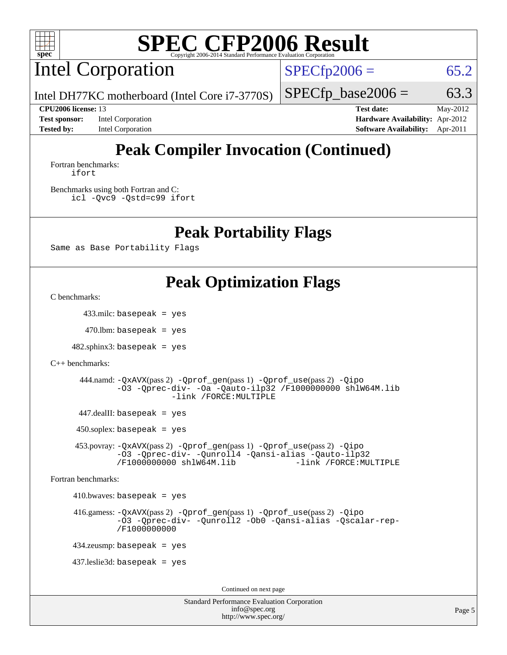

Intel Corporation

 $SPECfp2006 = 65.2$  $SPECfp2006 = 65.2$ 

Intel DH77KC motherboard (Intel Core i7-3770S)

 $SPECTp\_base2006 = 63.3$ 

**[Test sponsor:](http://www.spec.org/auto/cpu2006/Docs/result-fields.html#Testsponsor)** Intel Corporation **[Hardware Availability:](http://www.spec.org/auto/cpu2006/Docs/result-fields.html#HardwareAvailability)** Apr-2012

**[CPU2006 license:](http://www.spec.org/auto/cpu2006/Docs/result-fields.html#CPU2006license)** 13 **[Test date:](http://www.spec.org/auto/cpu2006/Docs/result-fields.html#Testdate)** May-2012 **[Tested by:](http://www.spec.org/auto/cpu2006/Docs/result-fields.html#Testedby)** Intel Corporation **[Software Availability:](http://www.spec.org/auto/cpu2006/Docs/result-fields.html#SoftwareAvailability)** Apr-2011

## **[Peak Compiler Invocation \(Continued\)](http://www.spec.org/auto/cpu2006/Docs/result-fields.html#PeakCompilerInvocation)**

[Fortran benchmarks](http://www.spec.org/auto/cpu2006/Docs/result-fields.html#Fortranbenchmarks): [ifort](http://www.spec.org/cpu2006/results/res2012q3/cpu2006-20120702-23367.flags.html#user_FCpeak_intel_ifort_8a5e5e06b19a251bdeaf8fdab5d62f20)

[Benchmarks using both Fortran and C](http://www.spec.org/auto/cpu2006/Docs/result-fields.html#BenchmarksusingbothFortranandC): [icl -Qvc9](http://www.spec.org/cpu2006/results/res2012q3/cpu2006-20120702-23367.flags.html#user_CC_FCpeak_intel_icc_vc9_6b5741b4033b9dc48df324263d9561bc) [-Qstd=c99](http://www.spec.org/cpu2006/results/res2012q3/cpu2006-20120702-23367.flags.html#user_CC_FCpeak_intel_compiler_c99_mode_1a3d110e3041b3ad4466830521bdad2a) [ifort](http://www.spec.org/cpu2006/results/res2012q3/cpu2006-20120702-23367.flags.html#user_CC_FCpeak_intel_ifort_8a5e5e06b19a251bdeaf8fdab5d62f20)

## **[Peak Portability Flags](http://www.spec.org/auto/cpu2006/Docs/result-fields.html#PeakPortabilityFlags)**

Same as Base Portability Flags

## **[Peak Optimization Flags](http://www.spec.org/auto/cpu2006/Docs/result-fields.html#PeakOptimizationFlags)**

[C benchmarks](http://www.spec.org/auto/cpu2006/Docs/result-fields.html#Cbenchmarks):

433.milc: basepeak = yes

 $470$ .lbm: basepeak = yes

 $482$ .sphinx $3$ : basepeak = yes

[C++ benchmarks:](http://www.spec.org/auto/cpu2006/Docs/result-fields.html#CXXbenchmarks)

```
 444.namd: -QxAVX(pass 2) -Qprof_gen(pass 1) -Qprof_use(pass 2) -Qipo
-O3 -Qprec-div- -Oa -Qauto-ilp32 /F1000000000 shlW64M.lib
             -link /FORCE:MULTIPLE
```
447.dealII: basepeak = yes

 $450$ .soplex: basepeak = yes

 453.povray: [-QxAVX](http://www.spec.org/cpu2006/results/res2012q3/cpu2006-20120702-23367.flags.html#user_peakPASS2_CXXFLAGSPASS2_LDFLAGS453_povray_f-QxAVX)(pass 2) [-Qprof\\_gen](http://www.spec.org/cpu2006/results/res2012q3/cpu2006-20120702-23367.flags.html#user_peakPASS1_CXXFLAGSPASS1_LDFLAGS453_povray_Qprof_gen)(pass 1) [-Qprof\\_use](http://www.spec.org/cpu2006/results/res2012q3/cpu2006-20120702-23367.flags.html#user_peakPASS2_CXXFLAGSPASS2_LDFLAGS453_povray_Qprof_use)(pass 2) [-Qipo](http://www.spec.org/cpu2006/results/res2012q3/cpu2006-20120702-23367.flags.html#user_peakOPTIMIZE453_povray_f-Qipo) [-O3](http://www.spec.org/cpu2006/results/res2012q3/cpu2006-20120702-23367.flags.html#user_peakOPTIMIZE453_povray_f-O3) [-Qprec-div-](http://www.spec.org/cpu2006/results/res2012q3/cpu2006-20120702-23367.flags.html#user_peakOPTIMIZE453_povray_f-Qprec-div-) [-Qunroll4](http://www.spec.org/cpu2006/results/res2012q3/cpu2006-20120702-23367.flags.html#user_peakOPTIMIZE453_povray_f-Qunroll_013b1c0ea3aa84ef2c65e488bcc3d968) [-Qansi-alias](http://www.spec.org/cpu2006/results/res2012q3/cpu2006-20120702-23367.flags.html#user_peakOPTIMIZE453_povray_f-Qansi-alias) [-Qauto-ilp32](http://www.spec.org/cpu2006/results/res2012q3/cpu2006-20120702-23367.flags.html#user_peakCXXOPTIMIZE453_povray_f-Qauto-ilp32) [/F1000000000](http://www.spec.org/cpu2006/results/res2012q3/cpu2006-20120702-23367.flags.html#user_peakEXTRA_LDFLAGS453_povray_set_stack_space_25d7749c1988d91b7f93afbc0ec53727) [shlW64M.lib](http://www.spec.org/cpu2006/results/res2012q3/cpu2006-20120702-23367.flags.html#user_peakEXTRA_LIBS453_povray_SmartHeap64_c4f7f76711bdf8c0633a5c1edf6e5396)

[Fortran benchmarks](http://www.spec.org/auto/cpu2006/Docs/result-fields.html#Fortranbenchmarks):

 $410.bwaves: basepeak = yes$ 

 416.gamess: [-QxAVX](http://www.spec.org/cpu2006/results/res2012q3/cpu2006-20120702-23367.flags.html#user_peakPASS2_FFLAGSPASS2_LDFLAGS416_gamess_f-QxAVX)(pass 2) [-Qprof\\_gen](http://www.spec.org/cpu2006/results/res2012q3/cpu2006-20120702-23367.flags.html#user_peakPASS1_FFLAGSPASS1_LDFLAGS416_gamess_Qprof_gen)(pass 1) [-Qprof\\_use](http://www.spec.org/cpu2006/results/res2012q3/cpu2006-20120702-23367.flags.html#user_peakPASS2_FFLAGSPASS2_LDFLAGS416_gamess_Qprof_use)(pass 2) [-Qipo](http://www.spec.org/cpu2006/results/res2012q3/cpu2006-20120702-23367.flags.html#user_peakOPTIMIZE416_gamess_f-Qipo) [-O3](http://www.spec.org/cpu2006/results/res2012q3/cpu2006-20120702-23367.flags.html#user_peakOPTIMIZE416_gamess_f-O3) [-Qprec-div-](http://www.spec.org/cpu2006/results/res2012q3/cpu2006-20120702-23367.flags.html#user_peakOPTIMIZE416_gamess_f-Qprec-div-) [-Qunroll2](http://www.spec.org/cpu2006/results/res2012q3/cpu2006-20120702-23367.flags.html#user_peakOPTIMIZE416_gamess_f-Qunroll_1d9456aa650e77fc2a0cf43cef3fa08c) [-Ob0](http://www.spec.org/cpu2006/results/res2012q3/cpu2006-20120702-23367.flags.html#user_peakOPTIMIZE416_gamess_f-Ob_n_fbe6f6428adb7d4b74b1e99bb2444c2d) [-Qansi-alias](http://www.spec.org/cpu2006/results/res2012q3/cpu2006-20120702-23367.flags.html#user_peakOPTIMIZE416_gamess_f-Qansi-alias) [-Qscalar-rep-](http://www.spec.org/cpu2006/results/res2012q3/cpu2006-20120702-23367.flags.html#user_peakOPTIMIZE416_gamess_f-Qscalar-rep_02cb9e11a5340d80ab3062d84e5dfb2e) [/F1000000000](http://www.spec.org/cpu2006/results/res2012q3/cpu2006-20120702-23367.flags.html#user_peakEXTRA_LDFLAGS416_gamess_set_stack_space_25d7749c1988d91b7f93afbc0ec53727)

434.zeusmp: basepeak = yes

437.leslie3d: basepeak = yes

Continued on next page